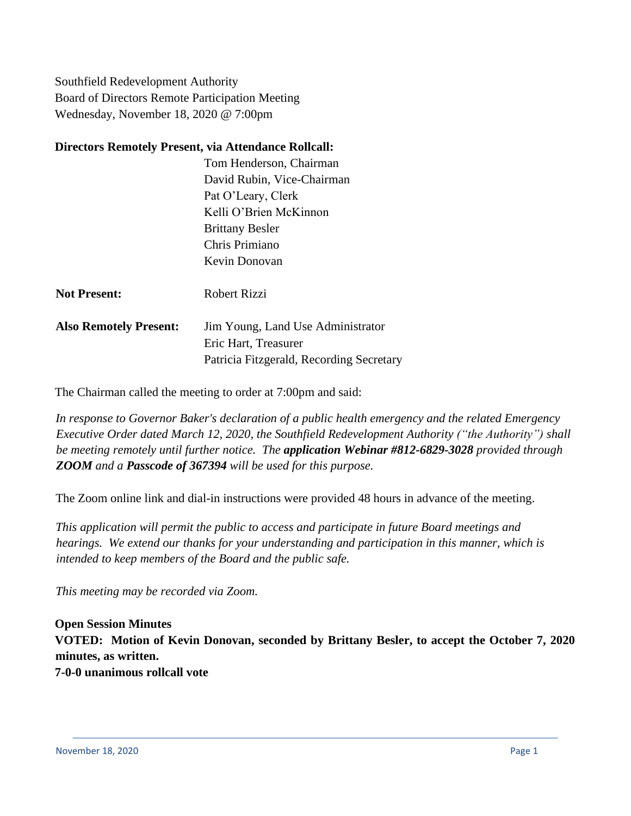Southfield Redevelopment Authority Board of Directors Remote Participation Meeting Wednesday, November 18, 2020 @ 7:00pm

### **Directors Remotely Present, via Attendance Rollcall:**

Tom Henderson, Chairman David Rubin, Vice-Chairman Pat O'Leary, Clerk Kelli O'Brien McKinnon Brittany Besler Chris Primiano Kevin Donovan

- **Not Present:** Robert Rizzi
- **Also Remotely Present:** Jim Young, Land Use Administrator Eric Hart, Treasurer Patricia Fitzgerald, Recording Secretary

The Chairman called the meeting to order at 7:00pm and said:

*In response to Governor Baker's declaration of a public health emergency and the related Emergency Executive Order dated March 12, 2020, the Southfield Redevelopment Authority ("the Authority") shall be meeting remotely until further notice. The application Webinar #812-6829-3028 provided through ZOOM and a Passcode of 367394 will be used for this purpose.*

The Zoom online link and dial-in instructions were provided 48 hours in advance of the meeting.

*This application will permit the public to access and participate in future Board meetings and hearings. We extend our thanks for your understanding and participation in this manner, which is intended to keep members of the Board and the public safe.*

*This meeting may be recorded via Zoom.*

**Open Session Minutes VOTED: Motion of Kevin Donovan, seconded by Brittany Besler, to accept the October 7, 2020 minutes, as written. 7-0-0 unanimous rollcall vote**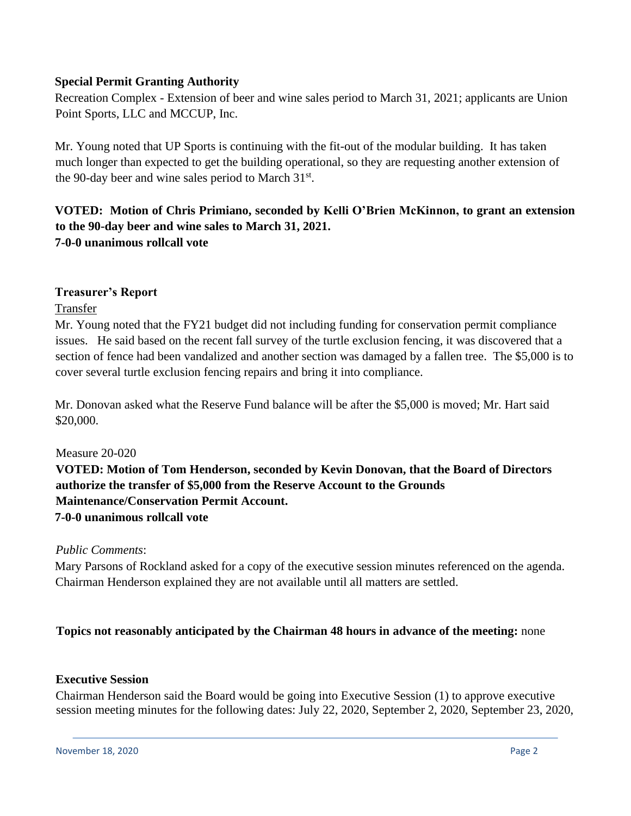## **Special Permit Granting Authority**

Recreation Complex - Extension of beer and wine sales period to March 31, 2021; applicants are Union Point Sports, LLC and MCCUP, Inc.

Mr. Young noted that UP Sports is continuing with the fit-out of the modular building. It has taken much longer than expected to get the building operational, so they are requesting another extension of the 90-day beer and wine sales period to March 31<sup>st</sup>.

# **VOTED: Motion of Chris Primiano, seconded by Kelli O'Brien McKinnon, to grant an extension to the 90-day beer and wine sales to March 31, 2021. 7-0-0 unanimous rollcall vote**

### **Treasurer's Report**

#### Transfer

Mr. Young noted that the FY21 budget did not including funding for conservation permit compliance issues. He said based on the recent fall survey of the turtle exclusion fencing, it was discovered that a section of fence had been vandalized and another section was damaged by a fallen tree. The \$5,000 is to cover several turtle exclusion fencing repairs and bring it into compliance.

Mr. Donovan asked what the Reserve Fund balance will be after the \$5,000 is moved; Mr. Hart said \$20,000.

#### Measure 20-020

**VOTED: Motion of Tom Henderson, seconded by Kevin Donovan, that the Board of Directors authorize the transfer of \$5,000 from the Reserve Account to the Grounds Maintenance/Conservation Permit Account. 7-0-0 unanimous rollcall vote**

#### *Public Comments*:

Mary Parsons of Rockland asked for a copy of the executive session minutes referenced on the agenda. Chairman Henderson explained they are not available until all matters are settled.

## **Topics not reasonably anticipated by the Chairman 48 hours in advance of the meeting:** none

#### **Executive Session**

Chairman Henderson said the Board would be going into Executive Session (1) to approve executive session meeting minutes for the following dates: July 22, 2020, September 2, 2020, September 23, 2020,